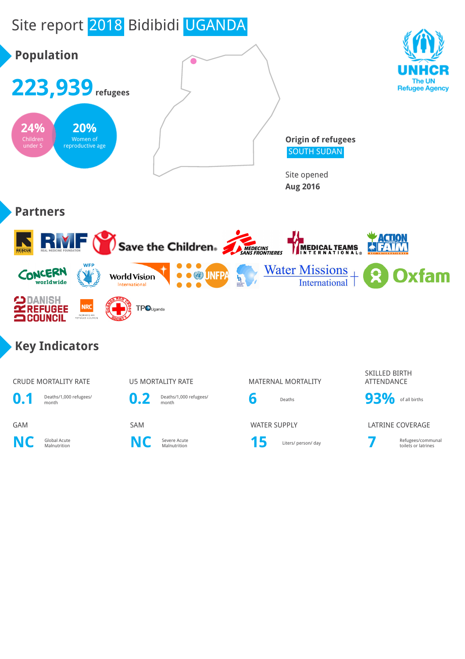# Site report 2018 Bidibidi UGANDA

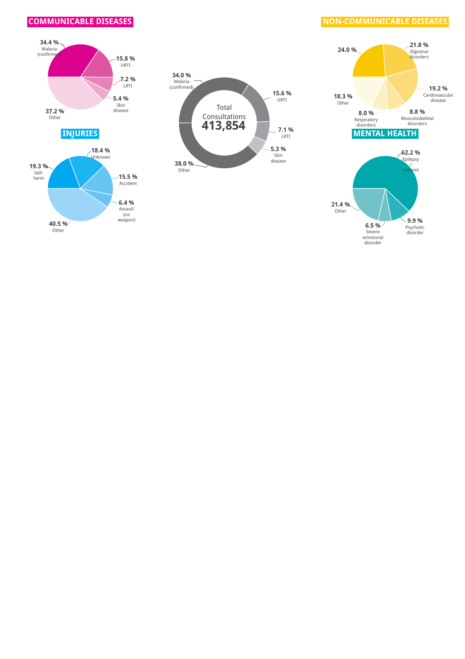





#### **COMMUNICABLE DISEASES**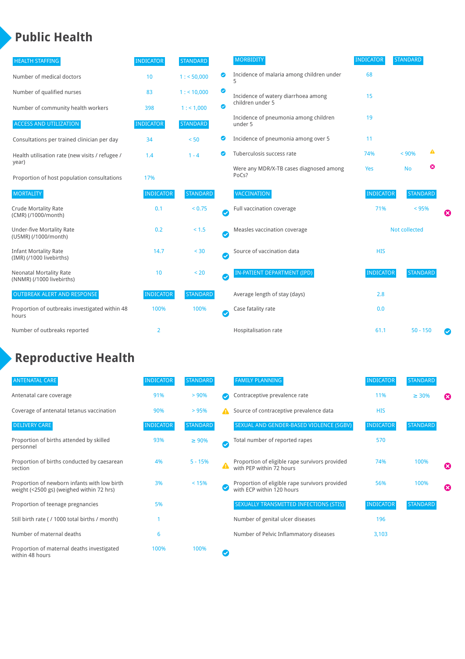## **Public Health**

| <b>HEALTH STAFFING</b>                                      | <b>INDICATOR</b> | <b>STANDARD</b> |           | <b>MORBIDITY</b>                                 | <b>INDICATOR</b> | <b>STANDARD</b> |   |           |
|-------------------------------------------------------------|------------------|-----------------|-----------|--------------------------------------------------|------------------|-----------------|---|-----------|
| Number of medical doctors                                   | 10               | 1: 50,000       | ◙         | Incidence of malaria among children under<br>5   | 68               |                 |   |           |
| Number of qualified nurses                                  | 83               | 1:110,000       | ◙         | Incidence of watery diarrhoea among              | 15               |                 |   |           |
| Number of community health workers                          | 398              | 1: 1,000        | ◙         | children under 5                                 |                  |                 |   |           |
| <b>ACCESS AND UTILIZATION</b>                               | <b>INDICATOR</b> | <b>STANDARD</b> |           | Incidence of pneumonia among children<br>under 5 | 19               |                 |   |           |
| Consultations per trained clinician per day                 | 34               | < 50            | ◉         | Incidence of pneumonia among over 5              | 11               |                 |   |           |
| Health utilisation rate (new visits / refugee /<br>year)    | 1.4              | $1 - 4$         | ◙         | Tuberculosis success rate                        | 74%              | < 90%           | ▲ |           |
| Proportion of host population consultations                 | 17%              |                 |           | Were any MDR/X-TB cases diagnosed among<br>PoCs? | Yes              | <b>No</b>       | ೞ |           |
| <b>MORTALITY</b>                                            | <b>INDICATOR</b> | <b>STANDARD</b> |           | <b>VACCINATION</b>                               | <b>INDICATOR</b> | <b>STANDARD</b> |   |           |
| Crude Mortality Rate<br>(CMR) (/1000/month)                 | 0.1              | < 0.75          | $\bullet$ | Full vaccination coverage                        | 71%<br>< 95%     |                 |   | ೞ         |
| <b>Under-five Mortality Rate</b><br>(U5MR) (/1000/month)    | 0.2              | < 1.5           | Ø         | Measles vaccination coverage                     | Not collected    |                 |   |           |
| <b>Infant Mortality Rate</b><br>(IMR) (/1000 livebirths)    | 14.7             | < 30            | Ø         | Source of vaccination data                       | <b>HIS</b>       |                 |   |           |
| <b>Neonatal Mortality Rate</b><br>(NNMR) (/1000 livebirths) | 10               | < 20            | Ø         | IN-PATIENT DEPARTMENT (IPD)                      | <b>INDICATOR</b> | <b>STANDARD</b> |   |           |
| <b>OUTBREAK ALERT AND RESPONSE</b>                          | <b>INDICATOR</b> | <b>STANDARD</b> |           | Average length of stay (days)                    | 2.8              |                 |   |           |
| Proportion of outbreaks investigated within 48<br>hours     | 100%             | 100%            | Ø         | Case fatality rate                               | 0.0              |                 |   |           |
| Number of outbreaks reported                                | 2                |                 |           | Hospitalisation rate                             | 61.1             | $50 - 150$      |   | $\bullet$ |

#### **Reproductive Health**

| <b>ANTENATAL CARE</b>                                                                     | <b>INDICATOR</b> | <b>STANDARD</b> |   | <b>FAMILY PLANNING</b>                                                      | <b>INDICATOR</b> | <b>STANDARD</b> |   |
|-------------------------------------------------------------------------------------------|------------------|-----------------|---|-----------------------------------------------------------------------------|------------------|-----------------|---|
| Antenatal care coverage                                                                   | 91%              | > 90%           |   | Contraceptive prevalence rate                                               | 11%              | $\geq 30\%$     | Ω |
| Coverage of antenatal tetanus vaccination                                                 | 90%              | >95%            | А | Source of contraceptive prevalence data                                     | <b>HIS</b>       |                 |   |
| <b>DELIVERY CARE</b>                                                                      | <b>INDICATOR</b> | <b>STANDARD</b> |   | SEXUAL AND GENDER-BASED VIOLENCE (SGBV)                                     | <b>INDICATOR</b> | <b>STANDARD</b> |   |
| Proportion of births attended by skilled<br>personnel                                     | 93%              | $\geq 90\%$     |   | Total number of reported rapes                                              | 570              |                 |   |
| Proportion of births conducted by caesarean<br>section                                    | 4%               | $5 - 15%$       |   | Proportion of eligible rape survivors provided<br>with PEP within 72 hours  | 74%              | 100%            | Ø |
| Proportion of newborn infants with low birth<br>weight (<2500 gs) (weighed within 72 hrs) | 3%               | < 15%           |   | Proportion of eligible rape survivors provided<br>with ECP within 120 hours | 56%              | 100%            | ☎ |
| Proportion of teenage pregnancies                                                         | 5%               |                 |   | <b>SEXUALLY TRANSMITTED INFECTIONS (STIS)</b>                               | <b>INDICATOR</b> | <b>STANDARD</b> |   |
| Still birth rate (/ 1000 total births / month)                                            |                  |                 |   | Number of genital ulcer diseases                                            | 196              |                 |   |
| Number of maternal deaths                                                                 | 6                |                 |   | Number of Pelvic Inflammatory diseases                                      | 3,103            |                 |   |
| Proportion of maternal deaths investigated<br>within 48 hours                             | 100%             | 100%            |   |                                                                             |                  |                 |   |